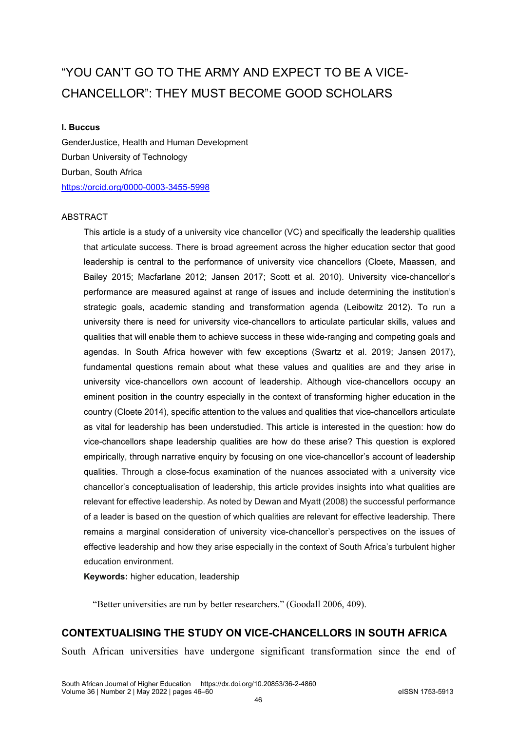# "YOU CAN'T GO TO THE ARMY AND EXPECT TO BE A VICE-CHANCELLOR": THEY MUST BECOME GOOD SCHOLARS

#### **I. Buccus**

GenderJustice, Health and Human Development Durban University of Technology Durban, South Africa <https://orcid.org/0000-0003-3455-5998>

#### ABSTRACT

This article is a study of a university vice chancellor (VC) and specifically the leadership qualities that articulate success. There is broad agreement across the higher education sector that good leadership is central to the performance of university vice chancellors (Cloete, Maassen, and Bailey 2015; Macfarlane 2012; Jansen 2017; Scott et al. 2010). University vice-chancellor's performance are measured against at range of issues and include determining the institution's strategic goals, academic standing and transformation agenda (Leibowitz 2012). To run a university there is need for university vice-chancellors to articulate particular skills, values and qualities that will enable them to achieve success in these wide-ranging and competing goals and agendas. In South Africa however with few exceptions (Swartz et al. 2019; Jansen 2017), fundamental questions remain about what these values and qualities are and they arise in university vice-chancellors own account of leadership. Although vice-chancellors occupy an eminent position in the country especially in the context of transforming higher education in the country (Cloete 2014), specific attention to the values and qualities that vice-chancellors articulate as vital for leadership has been understudied. This article is interested in the question: how do vice-chancellors shape leadership qualities are how do these arise? This question is explored empirically, through narrative enquiry by focusing on one vice-chancellor's account of leadership qualities. Through a close-focus examination of the nuances associated with a university vice chancellor's conceptualisation of leadership, this article provides insights into what qualities are relevant for effective leadership. As noted by Dewan and Myatt (2008) the successful performance of a leader is based on the question of which qualities are relevant for effective leadership. There remains a marginal consideration of university vice-chancellor's perspectives on the issues of effective leadership and how they arise especially in the context of South Africa's turbulent higher education environment.

**Keywords:** higher education, leadership

"Better universities are run by better researchers." (Goodall 2006, 409).

# **CONTEXTUALISING THE STUDY ON VICE-CHANCELLORS IN SOUTH AFRICA**

South African universities have undergone significant transformation since the end of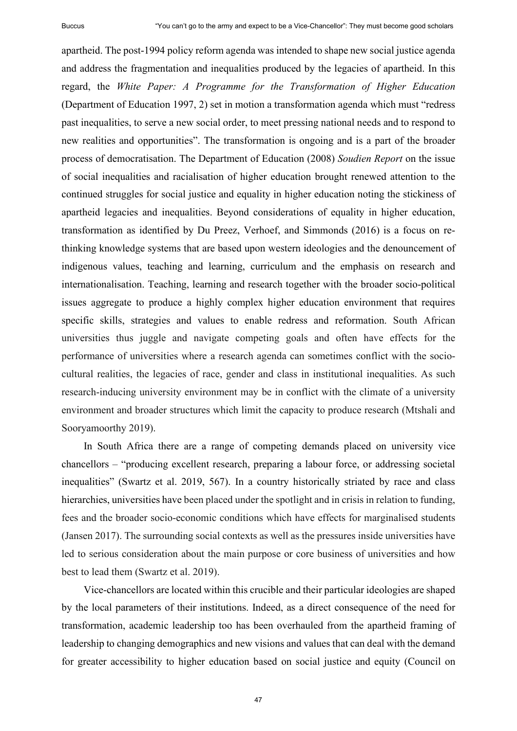apartheid. The post-1994 policy reform agenda was intended to shape new social justice agenda and address the fragmentation and inequalities produced by the legacies of apartheid. In this regard, the *White Paper: A Programme for the Transformation of Higher Education* (Department of Education 1997, 2) set in motion a transformation agenda which must "redress past inequalities, to serve a new social order, to meet pressing national needs and to respond to new realities and opportunities". The transformation is ongoing and is a part of the broader process of democratisation. The Department of Education (2008) *Soudien Report* on the issue of social inequalities and racialisation of higher education brought renewed attention to the continued struggles for social justice and equality in higher education noting the stickiness of apartheid legacies and inequalities. Beyond considerations of equality in higher education, transformation as identified by Du Preez, Verhoef, and Simmonds (2016) is a focus on rethinking knowledge systems that are based upon western ideologies and the denouncement of indigenous values, teaching and learning, curriculum and the emphasis on research and internationalisation. Teaching, learning and research together with the broader socio-political issues aggregate to produce a highly complex higher education environment that requires specific skills, strategies and values to enable redress and reformation. South African universities thus juggle and navigate competing goals and often have effects for the performance of universities where a research agenda can sometimes conflict with the sociocultural realities, the legacies of race, gender and class in institutional inequalities. As such research-inducing university environment may be in conflict with the climate of a university environment and broader structures which limit the capacity to produce research (Mtshali and Sooryamoorthy 2019).

In South Africa there are a range of competing demands placed on university vice chancellors ‒ "producing excellent research, preparing a labour force, or addressing societal inequalities" (Swartz et al. 2019, 567). In a country historically striated by race and class hierarchies, universities have been placed under the spotlight and in crisis in relation to funding, fees and the broader socio-economic conditions which have effects for marginalised students (Jansen 2017). The surrounding social contexts as well as the pressures inside universities have led to serious consideration about the main purpose or core business of universities and how best to lead them (Swartz et al. 2019).

Vice-chancellors are located within this crucible and their particular ideologies are shaped by the local parameters of their institutions. Indeed, as a direct consequence of the need for transformation, academic leadership too has been overhauled from the apartheid framing of leadership to changing demographics and new visions and values that can deal with the demand for greater accessibility to higher education based on social justice and equity (Council on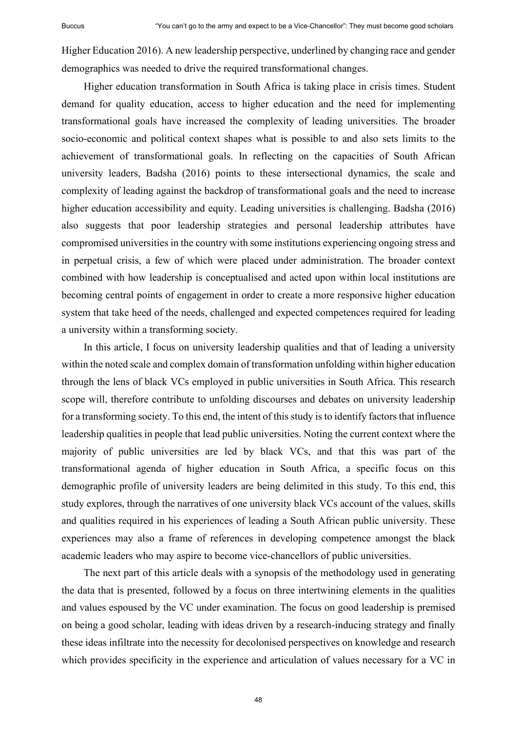Higher Education 2016). A new leadership perspective, underlined by changing race and gender demographics was needed to drive the required transformational changes.

Higher education transformation in South Africa is taking place in crisis times. Student demand for quality education, access to higher education and the need for implementing transformational goals have increased the complexity of leading universities. The broader socio-economic and political context shapes what is possible to and also sets limits to the achievement of transformational goals. In reflecting on the capacities of South African university leaders, Badsha (2016) points to these intersectional dynamics, the scale and complexity of leading against the backdrop of transformational goals and the need to increase higher education accessibility and equity. Leading universities is challenging. Badsha (2016) also suggests that poor leadership strategies and personal leadership attributes have compromised universities in the country with some institutions experiencing ongoing stress and in perpetual crisis, a few of which were placed under administration. The broader context combined with how leadership is conceptualised and acted upon within local institutions are becoming central points of engagement in order to create a more responsive higher education system that take heed of the needs, challenged and expected competences required for leading a university within a transforming society.

In this article, I focus on university leadership qualities and that of leading a university within the noted scale and complex domain of transformation unfolding within higher education through the lens of black VCs employed in public universities in South Africa. This research scope will, therefore contribute to unfolding discourses and debates on university leadership for a transforming society. To this end, the intent of this study is to identify factors that influence leadership qualities in people that lead public universities. Noting the current context where the majority of public universities are led by black VCs, and that this was part of the transformational agenda of higher education in South Africa, a specific focus on this demographic profile of university leaders are being delimited in this study. To this end, this study explores, through the narratives of one university black VCs account of the values, skills and qualities required in his experiences of leading a South African public university. These experiences may also a frame of references in developing competence amongst the black academic leaders who may aspire to become vice-chancellors of public universities.

The next part of this article deals with a synopsis of the methodology used in generating the data that is presented, followed by a focus on three intertwining elements in the qualities and values espoused by the VC under examination. The focus on good leadership is premised on being a good scholar, leading with ideas driven by a research-inducing strategy and finally these ideas infiltrate into the necessity for decolonised perspectives on knowledge and research which provides specificity in the experience and articulation of values necessary for a VC in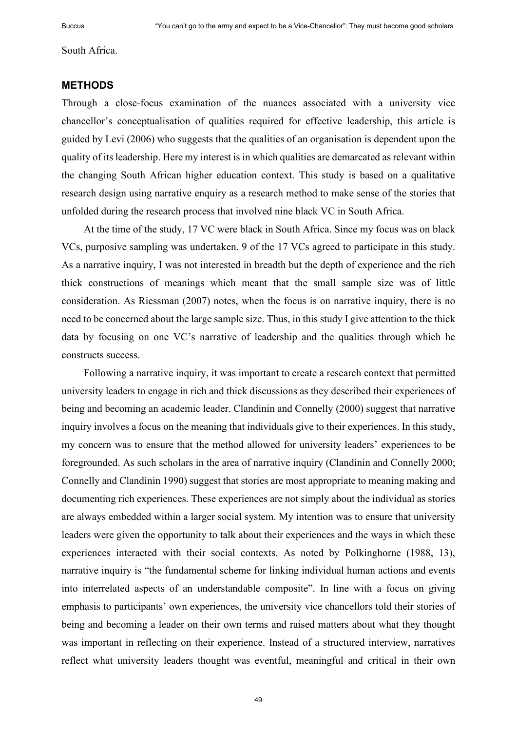South Africa.

#### **METHODS**

Through a close-focus examination of the nuances associated with a university vice chancellor's conceptualisation of qualities required for effective leadership, this article is guided by Levi (2006) who suggests that the qualities of an organisation is dependent upon the quality of its leadership. Here my interest is in which qualities are demarcated as relevant within the changing South African higher education context. This study is based on a qualitative research design using narrative enquiry as a research method to make sense of the stories that unfolded during the research process that involved nine black VC in South Africa.

At the time of the study, 17 VC were black in South Africa. Since my focus was on black VCs, purposive sampling was undertaken. 9 of the 17 VCs agreed to participate in this study. As a narrative inquiry, I was not interested in breadth but the depth of experience and the rich thick constructions of meanings which meant that the small sample size was of little consideration. As Riessman (2007) notes, when the focus is on narrative inquiry, there is no need to be concerned about the large sample size. Thus, in this study I give attention to the thick data by focusing on one VC's narrative of leadership and the qualities through which he constructs success.

Following a narrative inquiry, it was important to create a research context that permitted university leaders to engage in rich and thick discussions as they described their experiences of being and becoming an academic leader. Clandinin and Connelly (2000) suggest that narrative inquiry involves a focus on the meaning that individuals give to their experiences. In this study, my concern was to ensure that the method allowed for university leaders' experiences to be foregrounded. As such scholars in the area of narrative inquiry (Clandinin and Connelly 2000; Connelly and Clandinin 1990) suggest that stories are most appropriate to meaning making and documenting rich experiences. These experiences are not simply about the individual as stories are always embedded within a larger social system. My intention was to ensure that university leaders were given the opportunity to talk about their experiences and the ways in which these experiences interacted with their social contexts. As noted by Polkinghorne (1988, 13), narrative inquiry is "the fundamental scheme for linking individual human actions and events into interrelated aspects of an understandable composite". In line with a focus on giving emphasis to participants' own experiences, the university vice chancellors told their stories of being and becoming a leader on their own terms and raised matters about what they thought was important in reflecting on their experience. Instead of a structured interview, narratives reflect what university leaders thought was eventful, meaningful and critical in their own

49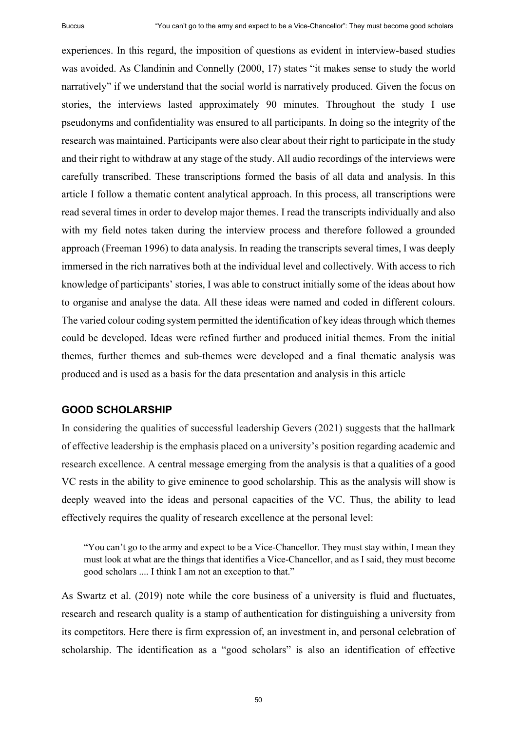experiences. In this regard, the imposition of questions as evident in interview-based studies was avoided. As Clandinin and Connelly (2000, 17) states "it makes sense to study the world narratively" if we understand that the social world is narratively produced. Given the focus on stories, the interviews lasted approximately 90 minutes. Throughout the study I use pseudonyms and confidentiality was ensured to all participants. In doing so the integrity of the research was maintained. Participants were also clear about their right to participate in the study and their right to withdraw at any stage of the study. All audio recordings of the interviews were carefully transcribed. These transcriptions formed the basis of all data and analysis. In this article I follow a thematic content analytical approach. In this process, all transcriptions were read several times in order to develop major themes. I read the transcripts individually and also with my field notes taken during the interview process and therefore followed a grounded approach (Freeman 1996) to data analysis. In reading the transcripts several times, I was deeply immersed in the rich narratives both at the individual level and collectively. With access to rich knowledge of participants' stories, I was able to construct initially some of the ideas about how to organise and analyse the data. All these ideas were named and coded in different colours. The varied colour coding system permitted the identification of key ideas through which themes could be developed. Ideas were refined further and produced initial themes. From the initial themes, further themes and sub-themes were developed and a final thematic analysis was produced and is used as a basis for the data presentation and analysis in this article

#### **GOOD SCHOLARSHIP**

In considering the qualities of successful leadership Gevers (2021) suggests that the hallmark of effective leadership is the emphasis placed on a university's position regarding academic and research excellence. A central message emerging from the analysis is that a qualities of a good VC rests in the ability to give eminence to good scholarship. This as the analysis will show is deeply weaved into the ideas and personal capacities of the VC. Thus, the ability to lead effectively requires the quality of research excellence at the personal level:

"You can't go to the army and expect to be a Vice-Chancellor. They must stay within, I mean they must look at what are the things that identifies a Vice-Chancellor, and as I said, they must become good scholars .... I think I am not an exception to that."

As Swartz et al. (2019) note while the core business of a university is fluid and fluctuates, research and research quality is a stamp of authentication for distinguishing a university from its competitors. Here there is firm expression of, an investment in, and personal celebration of scholarship. The identification as a "good scholars" is also an identification of effective

50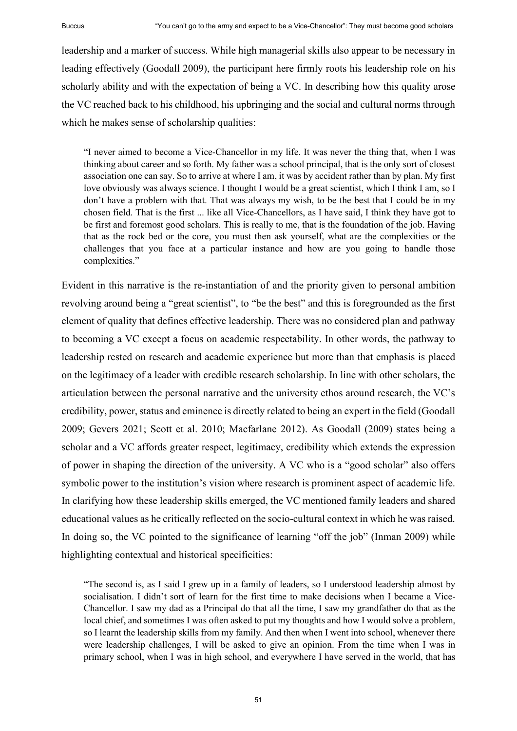leadership and a marker of success. While high managerial skills also appear to be necessary in leading effectively (Goodall 2009), the participant here firmly roots his leadership role on his scholarly ability and with the expectation of being a VC. In describing how this quality arose the VC reached back to his childhood, his upbringing and the social and cultural norms through which he makes sense of scholarship qualities:

"I never aimed to become a Vice-Chancellor in my life. It was never the thing that, when I was thinking about career and so forth. My father was a school principal, that is the only sort of closest association one can say. So to arrive at where I am, it was by accident rather than by plan. My first love obviously was always science. I thought I would be a great scientist, which I think I am, so I don't have a problem with that. That was always my wish, to be the best that I could be in my chosen field. That is the first ... like all Vice-Chancellors, as I have said, I think they have got to be first and foremost good scholars. This is really to me, that is the foundation of the job. Having that as the rock bed or the core, you must then ask yourself, what are the complexities or the challenges that you face at a particular instance and how are you going to handle those complexities."

Evident in this narrative is the re-instantiation of and the priority given to personal ambition revolving around being a "great scientist", to "be the best" and this is foregrounded as the first element of quality that defines effective leadership. There was no considered plan and pathway to becoming a VC except a focus on academic respectability. In other words, the pathway to leadership rested on research and academic experience but more than that emphasis is placed on the legitimacy of a leader with credible research scholarship. In line with other scholars, the articulation between the personal narrative and the university ethos around research, the VC's credibility, power, status and eminence is directly related to being an expert in the field (Goodall 2009; Gevers 2021; Scott et al. 2010; Macfarlane 2012). As Goodall (2009) states being a scholar and a VC affords greater respect, legitimacy, credibility which extends the expression of power in shaping the direction of the university. A VC who is a "good scholar" also offers symbolic power to the institution's vision where research is prominent aspect of academic life. In clarifying how these leadership skills emerged, the VC mentioned family leaders and shared educational values as he critically reflected on the socio-cultural context in which he was raised. In doing so, the VC pointed to the significance of learning "off the job" (Inman 2009) while highlighting contextual and historical specificities:

"The second is, as I said I grew up in a family of leaders, so I understood leadership almost by socialisation. I didn't sort of learn for the first time to make decisions when I became a Vice-Chancellor. I saw my dad as a Principal do that all the time, I saw my grandfather do that as the local chief, and sometimes I was often asked to put my thoughts and how I would solve a problem, so I learnt the leadership skills from my family. And then when I went into school, whenever there were leadership challenges, I will be asked to give an opinion. From the time when I was in primary school, when I was in high school, and everywhere I have served in the world, that has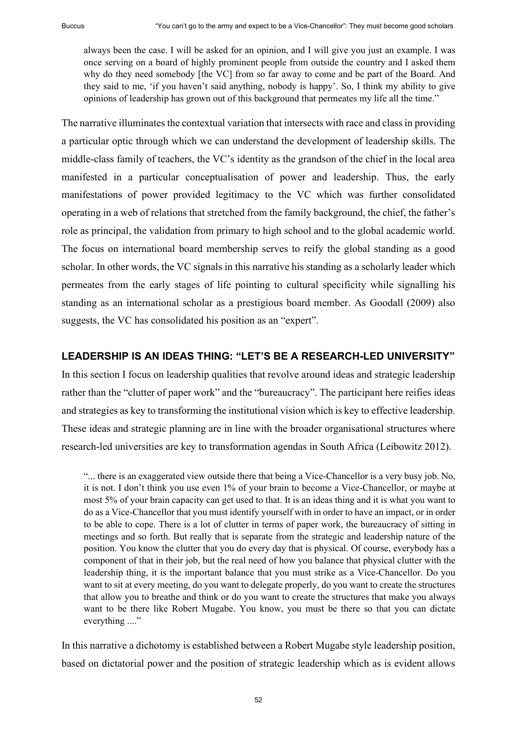always been the case. I will be asked for an opinion, and I will give you just an example. I was once serving on a board of highly prominent people from outside the country and I asked them why do they need somebody [the VC] from so far away to come and be part of the Board. And they said to me, 'if you haven't said anything, nobody is happy'. So, I think my ability to give opinions of leadership has grown out of this background that permeates my life all the time."

The narrative illuminates the contextual variation that intersects with race and class in providing a particular optic through which we can understand the development of leadership skills. The middle-class family of teachers, the VC's identity as the grandson of the chief in the local area manifested in a particular conceptualisation of power and leadership. Thus, the early manifestations of power provided legitimacy to the VC which was further consolidated operating in a web of relations that stretched from the family background, the chief, the father's role as principal, the validation from primary to high school and to the global academic world. The focus on international board membership serves to reify the global standing as a good scholar. In other words, the VC signals in this narrative his standing as a scholarly leader which permeates from the early stages of life pointing to cultural specificity while signalling his standing as an international scholar as a prestigious board member. As Goodall (2009) also suggests, the VC has consolidated his position as an "expert".

# **LEADERSHIP IS AN IDEAS THING: "LET'S BE A RESEARCH-LED UNIVERSITY"**

In this section I focus on leadership qualities that revolve around ideas and strategic leadership rather than the "clutter of paper work" and the "bureaucracy". The participant here reifies ideas and strategies as key to transforming the institutional vision which is key to effective leadership. These ideas and strategic planning are in line with the broader organisational structures where research-led universities are key to transformation agendas in South Africa (Leibowitz 2012).

"... there is an exaggerated view outside there that being a Vice-Chancellor is a very busy job. No, it is not. I don't think you use even 1% of your brain to become a Vice-Chancellor, or maybe at most 5% of your brain capacity can get used to that. It is an ideas thing and it is what you want to do as a Vice-Chancellor that you must identify yourself with in order to have an impact, or in order to be able to cope. There is a lot of clutter in terms of paper work, the bureaucracy of sitting in meetings and so forth. But really that is separate from the strategic and leadership nature of the position. You know the clutter that you do every day that is physical. Of course, everybody has a component of that in their job, but the real need of how you balance that physical clutter with the leadership thing, it is the important balance that you must strike as a Vice-Chancellor. Do you want to sit at every meeting, do you want to delegate properly, do you want to create the structures that allow you to breathe and think or do you want to create the structures that make you always want to be there like Robert Mugabe. You know, you must be there so that you can dictate everything ...."

In this narrative a dichotomy is established between a Robert Mugabe style leadership position, based on dictatorial power and the position of strategic leadership which as is evident allows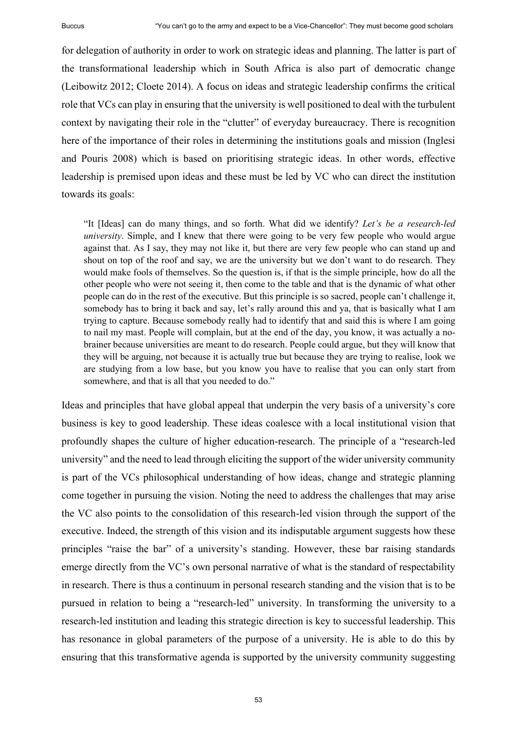for delegation of authority in order to work on strategic ideas and planning. The latter is part of the transformational leadership which in South Africa is also part of democratic change (Leibowitz 2012; Cloete 2014). A focus on ideas and strategic leadership confirms the critical role that VCs can play in ensuring that the university is well positioned to deal with the turbulent context by navigating their role in the "clutter" of everyday bureaucracy. There is recognition here of the importance of their roles in determining the institutions goals and mission (Inglesi) and Pouris 2008) which is based on prioritising strategic ideas. In other words, effective leadership is premised upon ideas and these must be led by VC who can direct the institution towards its goals:

"It [Ideas] can do many things, and so forth. What did we identify? *Let's be a research-led university*. Simple, and I knew that there were going to be very few people who would argue against that. As I say, they may not like it, but there are very few people who can stand up and shout on top of the roof and say, we are the university but we don't want to do research. They would make fools of themselves. So the question is, if that is the simple principle, how do all the other people who were not seeing it, then come to the table and that is the dynamic of what other people can do in the rest of the executive. But this principle is so sacred, people can't challenge it, somebody has to bring it back and say, let's rally around this and ya, that is basically what I am trying to capture. Because somebody really had to identify that and said this is where I am going to nail my mast. People will complain, but at the end of the day, you know, it was actually a nobrainer because universities are meant to do research. People could argue, but they will know that they will be arguing, not because it is actually true but because they are trying to realise, look we are studying from a low base, but you know you have to realise that you can only start from somewhere, and that is all that you needed to do."

Ideas and principles that have global appeal that underpin the very basis of a university's core business is key to good leadership. These ideas coalesce with a local institutional vision that profoundly shapes the culture of higher education-research. The principle of a "research-led university" and the need to lead through eliciting the support of the wider university community is part of the VCs philosophical understanding of how ideas, change and strategic planning come together in pursuing the vision. Noting the need to address the challenges that may arise the VC also points to the consolidation of this research-led vision through the support of the executive. Indeed, the strength of this vision and its indisputable argument suggests how these principles "raise the bar" of a university's standing. However, these bar raising standards emerge directly from the VC's own personal narrative of what is the standard of respectability in research. There is thus a continuum in personal research standing and the vision that is to be pursued in relation to being a "research-led" university. In transforming the university to a research-led institution and leading this strategic direction is key to successful leadership. This has resonance in global parameters of the purpose of a university. He is able to do this by ensuring that this transformative agenda is supported by the university community suggesting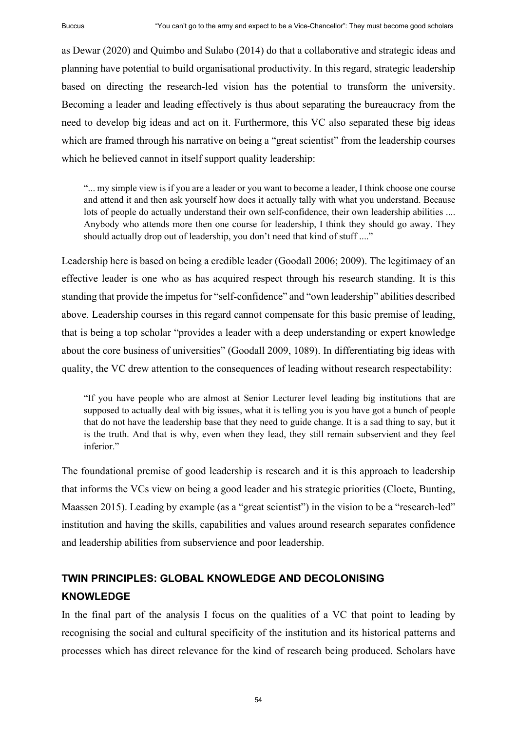as Dewar (2020) and Quimbo and Sulabo (2014) do that a collaborative and strategic ideas and planning have potential to build organisational productivity. In this regard, strategic leadership based on directing the research-led vision has the potential to transform the university. Becoming a leader and leading effectively is thus about separating the bureaucracy from the need to develop big ideas and act on it. Furthermore, this VC also separated these big ideas which are framed through his narrative on being a "great scientist" from the leadership courses which he believed cannot in itself support quality leadership:

"... my simple view is if you are a leader or you want to become a leader, I think choose one course and attend it and then ask yourself how does it actually tally with what you understand. Because lots of people do actually understand their own self-confidence, their own leadership abilities .... Anybody who attends more then one course for leadership, I think they should go away. They should actually drop out of leadership, you don't need that kind of stuff ...."

Leadership here is based on being a credible leader (Goodall 2006; 2009). The legitimacy of an effective leader is one who as has acquired respect through his research standing. It is this standing that provide the impetus for "self-confidence" and "own leadership" abilities described above. Leadership courses in this regard cannot compensate for this basic premise of leading, that is being a top scholar "provides a leader with a deep understanding or expert knowledge about the core business of universities" (Goodall 2009, 1089). In differentiating big ideas with quality, the VC drew attention to the consequences of leading without research respectability:

"If you have people who are almost at Senior Lecturer level leading big institutions that are supposed to actually deal with big issues, what it is telling you is you have got a bunch of people that do not have the leadership base that they need to guide change. It is a sad thing to say, but it is the truth. And that is why, even when they lead, they still remain subservient and they feel inferior."

The foundational premise of good leadership is research and it is this approach to leadership that informs the VCs view on being a good leader and his strategic priorities (Cloete, Bunting, Maassen 2015). Leading by example (as a "great scientist") in the vision to be a "research-led" institution and having the skills, capabilities and values around research separates confidence and leadership abilities from subservience and poor leadership.

# **TWIN PRINCIPLES: GLOBAL KNOWLEDGE AND DECOLONISING KNOWLEDGE**

In the final part of the analysis I focus on the qualities of a VC that point to leading by recognising the social and cultural specificity of the institution and its historical patterns and processes which has direct relevance for the kind of research being produced. Scholars have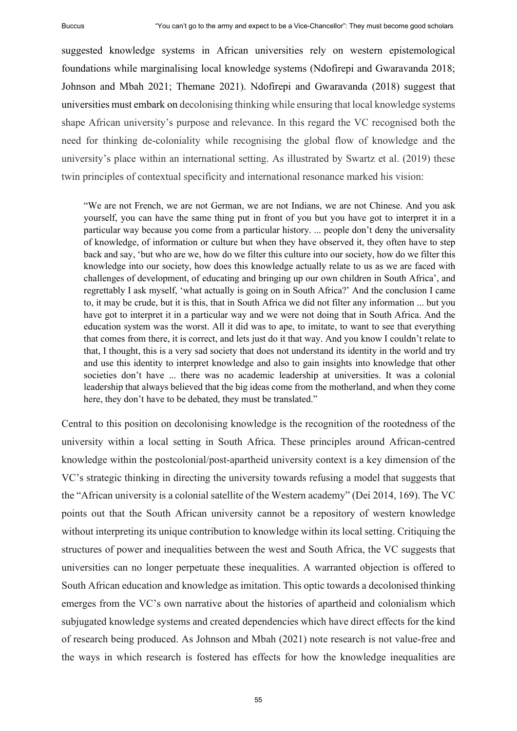suggested knowledge systems in African universities rely on western epistemological foundations while marginalising local knowledge systems (Ndofirepi and Gwaravanda 2018; Johnson and Mbah 2021; Themane 2021). Ndofirepi and Gwaravanda (2018) suggest that universities must embark on decolonising thinking while ensuring that local knowledge systems shape African university's purpose and relevance. In this regard the VC recognised both the need for thinking de-coloniality while recognising the global flow of knowledge and the university's place within an international setting. As illustrated by Swartz et al. (2019) these twin principles of contextual specificity and international resonance marked his vision:

"We are not French, we are not German, we are not Indians, we are not Chinese. And you ask yourself, you can have the same thing put in front of you but you have got to interpret it in a particular way because you come from a particular history. ... people don't deny the universality of knowledge, of information or culture but when they have observed it, they often have to step back and say, 'but who are we, how do we filter this culture into our society, how do we filter this knowledge into our society, how does this knowledge actually relate to us as we are faced with challenges of development, of educating and bringing up our own children in South Africa', and regrettably I ask myself, 'what actually is going on in South Africa?' And the conclusion I came to, it may be crude, but it is this, that in South Africa we did not filter any information ... but you have got to interpret it in a particular way and we were not doing that in South Africa. And the education system was the worst. All it did was to ape, to imitate, to want to see that everything that comes from there, it is correct, and lets just do it that way. And you know I couldn't relate to that, I thought, this is a very sad society that does not understand its identity in the world and try and use this identity to interpret knowledge and also to gain insights into knowledge that other societies don't have ... there was no academic leadership at universities. It was a colonial leadership that always believed that the big ideas come from the motherland, and when they come here, they don't have to be debated, they must be translated."

Central to this position on decolonising knowledge is the recognition of the rootedness of the university within a local setting in South Africa. These principles around African-centred knowledge within the postcolonial/post-apartheid university context is a key dimension of the VC's strategic thinking in directing the university towards refusing a model that suggests that the "African university is a colonial satellite of the Western academy" (Dei 2014, 169). The VC points out that the South African university cannot be a repository of western knowledge without interpreting its unique contribution to knowledge within its local setting. Critiquing the structures of power and inequalities between the west and South Africa, the VC suggests that universities can no longer perpetuate these inequalities. A warranted objection is offered to South African education and knowledge as imitation. This optic towards a decolonised thinking emerges from the VC's own narrative about the histories of apartheid and colonialism which subjugated knowledge systems and created dependencies which have direct effects for the kind of research being produced. As Johnson and Mbah (2021) note research is not value-free and the ways in which research is fostered has effects for how the knowledge inequalities are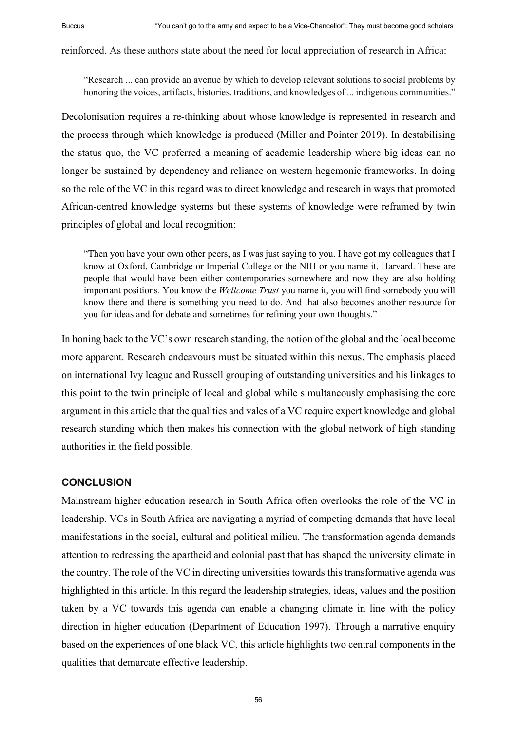reinforced. As these authors state about the need for local appreciation of research in Africa:

"Research ... can provide an avenue by which to develop relevant solutions to social problems by honoring the voices, artifacts, histories, traditions, and knowledges of ... indigenous communities."

Decolonisation requires a re-thinking about whose knowledge is represented in research and the process through which knowledge is produced (Miller and Pointer 2019). In destabilising the status quo, the VC proferred a meaning of academic leadership where big ideas can no longer be sustained by dependency and reliance on western hegemonic frameworks. In doing so the role of the VC in this regard was to direct knowledge and research in ways that promoted African-centred knowledge systems but these systems of knowledge were reframed by twin principles of global and local recognition:

"Then you have your own other peers, as I was just saying to you. I have got my colleagues that I know at Oxford, Cambridge or Imperial College or the NIH or you name it, Harvard. These are people that would have been either contemporaries somewhere and now they are also holding important positions. You know the *Wellcome Trust* you name it, you will find somebody you will know there and there is something you need to do. And that also becomes another resource for you for ideas and for debate and sometimes for refining your own thoughts."

In honing back to the VC's own research standing, the notion of the global and the local become more apparent. Research endeavours must be situated within this nexus. The emphasis placed on international Ivy league and Russell grouping of outstanding universities and his linkages to this point to the twin principle of local and global while simultaneously emphasising the core argument in this article that the qualities and vales of a VC require expert knowledge and global research standing which then makes his connection with the global network of high standing authorities in the field possible.

### **CONCLUSION**

Mainstream higher education research in South Africa often overlooks the role of the VC in leadership. VCs in South Africa are navigating a myriad of competing demands that have local manifestations in the social, cultural and political milieu. The transformation agenda demands attention to redressing the apartheid and colonial past that has shaped the university climate in the country. The role of the VC in directing universities towards this transformative agenda was highlighted in this article. In this regard the leadership strategies, ideas, values and the position taken by a VC towards this agenda can enable a changing climate in line with the policy direction in higher education (Department of Education 1997). Through a narrative enquiry based on the experiences of one black VC, this article highlights two central components in the qualities that demarcate effective leadership.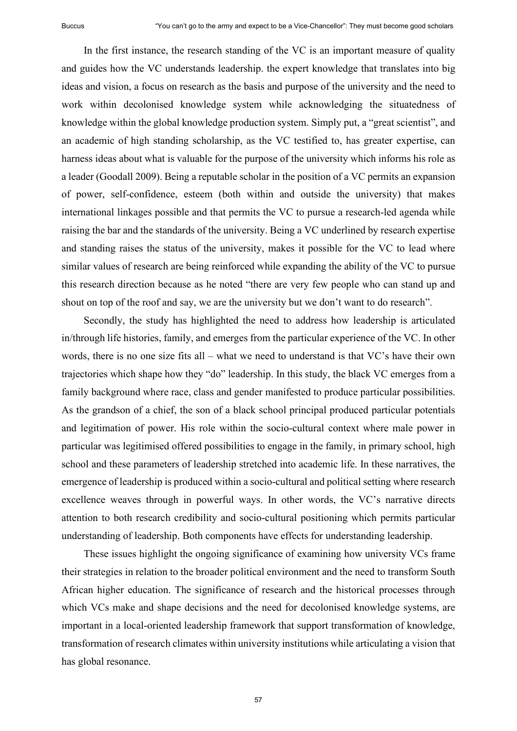In the first instance, the research standing of the VC is an important measure of quality and guides how the VC understands leadership. the expert knowledge that translates into big ideas and vision, a focus on research as the basis and purpose of the university and the need to work within decolonised knowledge system while acknowledging the situatedness of knowledge within the global knowledge production system. Simply put, a "great scientist", and an academic of high standing scholarship, as the VC testified to, has greater expertise, can harness ideas about what is valuable for the purpose of the university which informs his role as a leader (Goodall 2009). Being a reputable scholar in the position of a VC permits an expansion of power, self-confidence, esteem (both within and outside the university) that makes international linkages possible and that permits the VC to pursue a research-led agenda while raising the bar and the standards of the university. Being a VC underlined by research expertise and standing raises the status of the university, makes it possible for the VC to lead where similar values of research are being reinforced while expanding the ability of the VC to pursue this research direction because as he noted "there are very few people who can stand up and shout on top of the roof and say, we are the university but we don't want to do research".

Secondly, the study has highlighted the need to address how leadership is articulated in/through life histories, family, and emerges from the particular experience of the VC. In other words, there is no one size fits all  $-$  what we need to understand is that VC's have their own trajectories which shape how they "do" leadership. In this study, the black VC emerges from a family background where race, class and gender manifested to produce particular possibilities. As the grandson of a chief, the son of a black school principal produced particular potentials and legitimation of power. His role within the socio-cultural context where male power in particular was legitimised offered possibilities to engage in the family, in primary school, high school and these parameters of leadership stretched into academic life. In these narratives, the emergence of leadership is produced within a socio-cultural and political setting where research excellence weaves through in powerful ways. In other words, the VC's narrative directs attention to both research credibility and socio-cultural positioning which permits particular understanding of leadership. Both components have effects for understanding leadership.

These issues highlight the ongoing significance of examining how university VCs frame their strategies in relation to the broader political environment and the need to transform South African higher education. The significance of research and the historical processes through which VCs make and shape decisions and the need for decolonised knowledge systems, are important in a local-oriented leadership framework that support transformation of knowledge, transformation of research climates within university institutions while articulating a vision that has global resonance.

57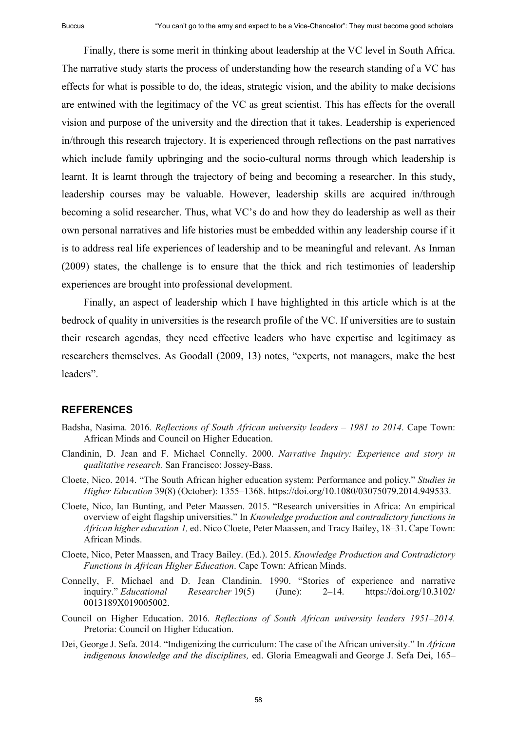Finally, there is some merit in thinking about leadership at the VC level in South Africa. The narrative study starts the process of understanding how the research standing of a VC has effects for what is possible to do, the ideas, strategic vision, and the ability to make decisions are entwined with the legitimacy of the VC as great scientist. This has effects for the overall vision and purpose of the university and the direction that it takes. Leadership is experienced in/through this research trajectory. It is experienced through reflections on the past narratives which include family upbringing and the socio-cultural norms through which leadership is learnt. It is learnt through the trajectory of being and becoming a researcher. In this study, leadership courses may be valuable. However, leadership skills are acquired in/through becoming a solid researcher. Thus, what VC's do and how they do leadership as well as their own personal narratives and life histories must be embedded within any leadership course if it is to address real life experiences of leadership and to be meaningful and relevant. As Inman (2009) states, the challenge is to ensure that the thick and rich testimonies of leadership experiences are brought into professional development.

Finally, an aspect of leadership which I have highlighted in this article which is at the bedrock of quality in universities is the research profile of the VC. If universities are to sustain their research agendas, they need effective leaders who have expertise and legitimacy as researchers themselves. As Goodall (2009, 13) notes, "experts, not managers, make the best leaders".

#### **REFERENCES**

- Badsha, Nasima. 2016. *Reflections of South African university leaders 1981 to 2014*. Cape Town: African Minds and Council on Higher Education.
- Clandinin, D. Jean and F. Michael Connelly. 2000. *Narrative Inquiry: Experience and story in qualitative research.* San Francisco: Jossey-Bass.
- Cloete, Nico. 2014. "The South African higher education system: Performance and policy." *Studies in Higher Education* 39(8) (October): 1355‒1368. https://doi.org/10.1080/03075079.2014.949533.
- Cloete, Nico, Ian Bunting, and Peter Maassen. 2015. "Research universities in Africa: An empirical overview of eight flagship universities." In *Knowledge production and contradictory functions in African higher education 1,* ed. Nico Cloete, Peter Maassen, and Tracy Bailey, 18‒31. Cape Town: African Minds.
- Cloete, Nico, Peter Maassen, and Tracy Bailey. (Ed.). 2015. *Knowledge Production and Contradictory Functions in African Higher Education*. Cape Town: African Minds.
- Connelly, F. Michael and D. Jean Clandinin. 1990. "Stories of experience and narrative inquiry." *Educational Researcher* 19(5) (June): 2‒14. https://doi.org/10.3102/ 0013189X019005002.
- Council on Higher Education. 2016. *Reflections of South African university leaders 1951–2014*. Pretoria: Council on Higher Education.
- Dei, George J. Sefa. 2014. "Indigenizing the curriculum: The case of the African university." In *African indigenous knowledge and the disciplines,* ed. Gloria Emeagwali and George J. Sefa Dei, 165–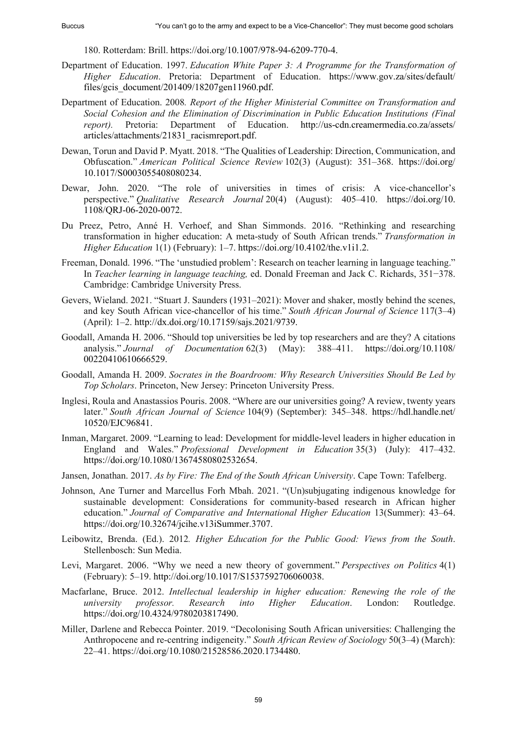180. Rotterdam: Brill. https://doi.org/10.1007/978-94-6209-770-4.

- Department of Education. 1997. *Education White Paper 3: A Programme for the Transformation of Higher Education*. Pretoria: Department of Education. https://www.gov.za/sites/default/ files/gcis\_document/201409/18207gen11960.pdf.
- Department of Education. 2008*. Report of the Higher Ministerial Committee on Transformation and Social Cohesion and the Elimination of Discrimination in Public Education Institutions (Final report).* Pretoria: Department of Education. http://us-cdn.creamermedia.co.za/assets/ articles/attachments/21831\_racismreport.pdf.
- Dewan, Torun and David P. Myatt. 2018. "The Qualities of Leadership: Direction, Communication, and Obfuscation." *American Political Science Review* 102(3) (August): 351‒368. https://doi.org/ 10.1017/S0003055408080234.
- Dewar, John. 2020. "The role of universities in times of crisis: A vice-chancellor's perspective." *Qualitative Research Journal* 20(4) (August): 405-410. https://doi.org/10. 1108/QRJ-06-2020-0072.
- Du Preez, Petro, Anné H. Verhoef, and Shan Simmonds. 2016. "Rethinking and researching transformation in higher education: A meta-study of South African trends." *Transformation in Higher Education* 1(1) (February): 1‒7. https://doi.org/10.4102/the.v1i1.2.
- Freeman, Donald. 1996. "The 'unstudied problem': Research on teacher learning in language teaching." In *Teacher learning in language teaching,* ed. Donald Freeman and Jack C. Richards, 351−378. Cambridge: Cambridge University Press.
- Gevers, Wieland. 2021. "Stuart J. Saunders (1931–2021): Mover and shaker, mostly behind the scenes, and key South African vice-chancellor of his time." South African Journal of Science 117(3-4) (April): 1‒2. http://dx.doi.org/10.17159/sajs.2021/9739.
- Goodall, Amanda H. 2006. "Should top universities be led by top researchers and are they? A citations analysis." *Journal of Documentation* 62(3) (May): 388–411. https://doi.org/10.1108/ 00220410610666529.
- Goodall, Amanda H. 2009. *Socrates in the Boardroom: Why Research Universities Should Be Led by Top Scholars*. Princeton, New Jersey: Princeton University Press.
- Inglesi, Roula and Anastassios Pouris. 2008. "Where are our universities going? A review, twenty years later." *South African Journal of Science* 104(9) (September): 345–348. https://hdl.handle.net/ 10520/EJC96841.
- Inman, Margaret. 2009. "Learning to lead: Development for middle‐level leaders in higher education in England and Wales." *Professional Development in Education* 35(3) (July): 417–432. https://doi.org/10.1080/13674580802532654.
- Jansen, Jonathan. 2017. *As by Fire: The End of the South African University*. Cape Town: Tafelberg.
- Johnson, Ane Turner and Marcellus Forh Mbah. 2021. "(Un)subjugating indigenous knowledge for sustainable development: Considerations for community-based research in African higher education." *Journal of Comparative and International Higher Education 13(Summer): 43–64.* https://doi.org/10.32674/jcihe.v13iSummer.3707.
- Leibowitz, Brenda. (Ed.). 2012*. Higher Education for the Public Good: Views from the South*. Stellenbosch: Sun Media.
- Levi, Margaret. 2006. "Why we need a new theory of government." *Perspectives on Politics* 4(1) (February): 5‒19. http://doi.org/10.1017/S1537592706060038.
- Macfarlane, Bruce. 2012. *Intellectual leadership in higher education: Renewing the role of the university professor. Research into Higher Education*. London: Routledge. https://doi.org/10.4324/9780203817490.
- Miller, Darlene and Rebecca Pointer. 2019. "Decolonising South African universities: Challenging the Anthropocene and re-centring indigeneity." *South African Review of Sociology* 50(3‒4) (March): 22‒41. https://doi.org/10.1080/21528586.2020.1734480.